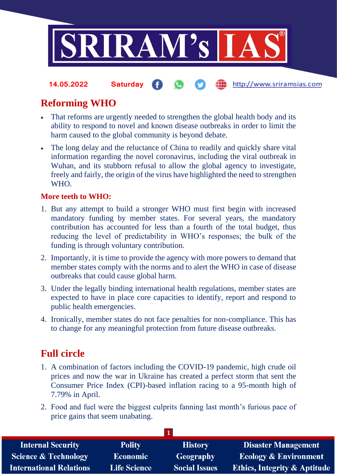

http://www.sriramsias.com **14.05.2022 Saturday**

# **Reforming WHO**

- That reforms are urgently needed to strengthen the global health body and its ability to respond to novel and known disease outbreaks in order to limit the harm caused to the global community is beyond debate.
- The long delay and the reluctance of China to readily and quickly share vital information regarding the novel coronavirus, including the viral outbreak in Wuhan, and its stubborn refusal to allow the global agency to investigate, freely and fairly, the origin of the virus have highlighted the need to strengthen WHO.

### **More teeth to WHO:**

- 1. But any attempt to build a stronger WHO must first begin with increased mandatory funding by member states. For several years, the mandatory contribution has accounted for less than a fourth of the total budget, thus reducing the level of predictability in WHO's responses; the bulk of the funding is through voluntary contribution.
- 2. Importantly, it is time to provide the agency with more powers to demand that member states comply with the norms and to alert the WHO in case of disease outbreaks that could cause global harm.
- 3. Under the legally binding international health regulations, member states are expected to have in place core capacities to identify, report and respond to public health emergencies.
- 4. Ironically, member states do not face penalties for non-compliance. This has to change for any meaningful protection from future disease outbreaks.

## **Full circle**

- 1. A combination of factors including the COVID-19 pandemic, high crude oil prices and now the war in Ukraine has created a perfect storm that sent the Consumer Price Index (CPI)-based inflation racing to a 95-month high of 7.79% in April.
- 2. Food and fuel were the biggest culprits fanning last month's furious pace of price gains that seem unabating.

| <b>Internal Security</b>        | <b>Polity</b>       | <b>History</b>       | <b>Disaster Management</b>              |  |
|---------------------------------|---------------------|----------------------|-----------------------------------------|--|
| <b>Science &amp; Technology</b> | <b>Economic</b>     | Geography            | <b>Ecology &amp; Environment</b>        |  |
| <b>International Relations</b>  | <b>Life Science</b> | <b>Social Issues</b> | <b>Ethics, Integrity &amp; Aptitude</b> |  |